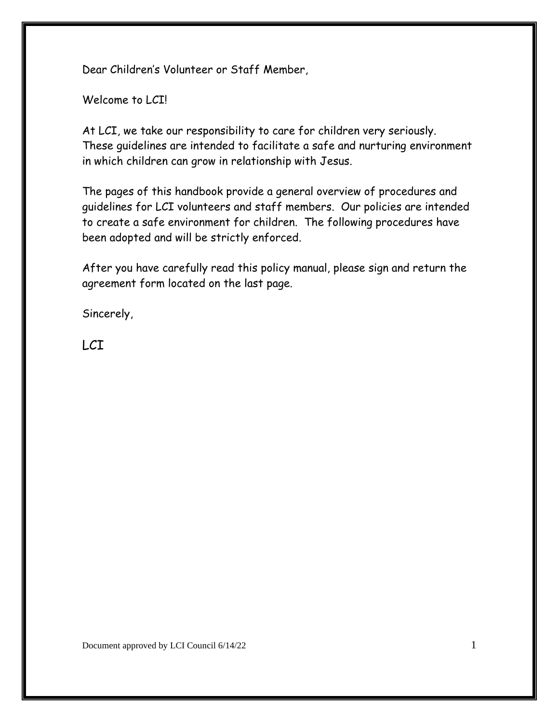Dear Children's Volunteer or Staff Member,

Welcome to LCI!

At LCI, we take our responsibility to care for children very seriously. These guidelines are intended to facilitate a safe and nurturing environment in which children can grow in relationship with Jesus.

The pages of this handbook provide a general overview of procedures and guidelines for LCI volunteers and staff members. Our policies are intended to create a safe environment for children. The following procedures have been adopted and will be strictly enforced.

After you have carefully read this policy manual, please sign and return the agreement form located on the last page.

Sincerely,

LCI

Document approved by LCI Council 6/14/22 1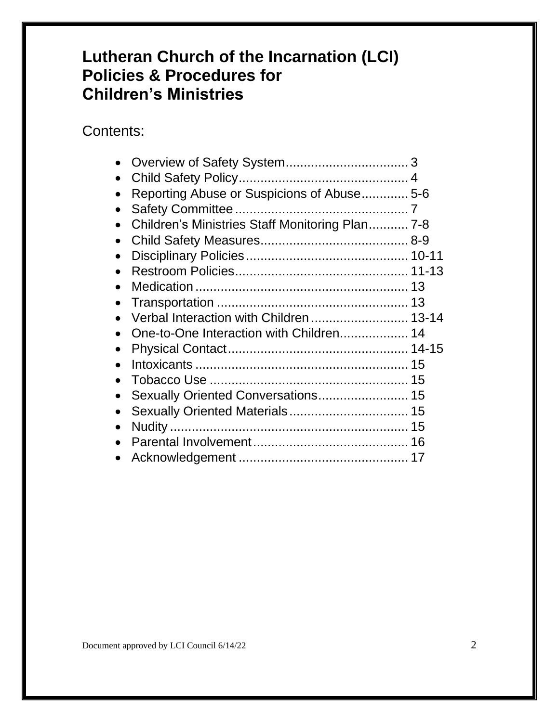# **Lutheran Church of the Incarnation (LCI) Policies & Procedures for Children's Ministries**

### Contents:

| Reporting Abuse or Suspicions of Abuse 5-6<br>Children's Ministries Staff Monitoring Plan 7-8<br>Sexually Oriented Conversations 15 |
|-------------------------------------------------------------------------------------------------------------------------------------|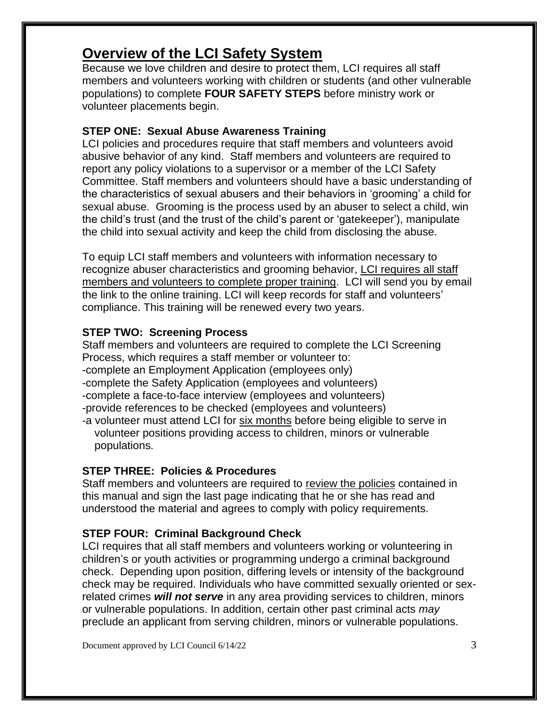## **Overview of the LCI Safety System**

Because we love children and desire to protect them, LCI requires all staff members and volunteers working with children or students (and other vulnerable populations) to complete **FOUR SAFETY STEPS** before ministry work or volunteer placements begin.

#### **STEP ONE: Sexual Abuse Awareness Training**

LCI policies and procedures require that staff members and volunteers avoid abusive behavior of any kind. Staff members and volunteers are required to report any policy violations to a supervisor or a member of the LCI Safety Committee. Staff members and volunteers should have a basic understanding of the characteristics of sexual abusers and their behaviors in 'grooming' a child for sexual abuse. Grooming is the process used by an abuser to select a child, win the child's trust (and the trust of the child's parent or 'gatekeeper'), manipulate the child into sexual activity and keep the child from disclosing the abuse.

To equip LCI staff members and volunteers with information necessary to recognize abuser characteristics and grooming behavior, LCI requires all staff members and volunteers to complete proper training. LCI will send you by email the link to the online training. LCI will keep records for staff and volunteers' compliance. This training will be renewed every two years.

#### **STEP TWO: Screening Process**

Staff members and volunteers are required to complete the LCI Screening Process, which requires a staff member or volunteer to: -complete an Employment Application (employees only) -complete the Safety Application (employees and volunteers) -complete a face-to-face interview (employees and volunteers) -provide references to be checked (employees and volunteers) -a volunteer must attend LCI for six months before being eligible to serve in

volunteer positions providing access to children, minors or vulnerable populations.

#### **STEP THREE: Policies & Procedures**

Staff members and volunteers are required to review the policies contained in this manual and sign the last page indicating that he or she has read and understood the material and agrees to comply with policy requirements.

#### **STEP FOUR: Criminal Background Check**

LCI requires that all staff members and volunteers working or volunteering in children's or youth activities or programming undergo a criminal background check. Depending upon position, differing levels or intensity of the background check may be required. Individuals who have committed sexually oriented or sexrelated crimes *will not serve* in any area providing services to children, minors or vulnerable populations. In addition, certain other past criminal acts *may*  preclude an applicant from serving children, minors or vulnerable populations.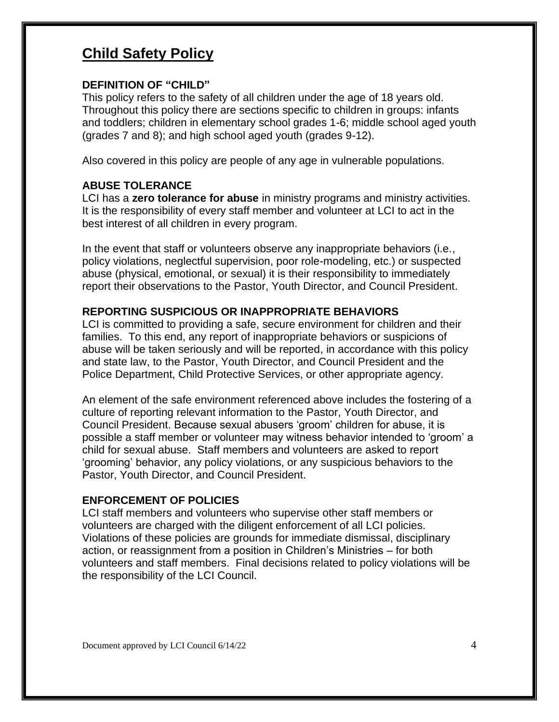### **Child Safety Policy**

#### **DEFINITION OF "CHILD"**

This policy refers to the safety of all children under the age of 18 years old. Throughout this policy there are sections specific to children in groups: infants and toddlers; children in elementary school grades 1-6; middle school aged youth (grades 7 and 8); and high school aged youth (grades 9-12).

Also covered in this policy are people of any age in vulnerable populations.

#### **ABUSE TOLERANCE**

LCI has a **zero tolerance for abuse** in ministry programs and ministry activities. It is the responsibility of every staff member and volunteer at LCI to act in the best interest of all children in every program.

In the event that staff or volunteers observe any inappropriate behaviors (i.e., policy violations, neglectful supervision, poor role-modeling, etc.) or suspected abuse (physical, emotional, or sexual) it is their responsibility to immediately report their observations to the Pastor, Youth Director, and Council President.

#### **REPORTING SUSPICIOUS OR INAPPROPRIATE BEHAVIORS**

LCI is committed to providing a safe, secure environment for children and their families. To this end, any report of inappropriate behaviors or suspicions of abuse will be taken seriously and will be reported, in accordance with this policy and state law, to the Pastor, Youth Director, and Council President and the Police Department, Child Protective Services, or other appropriate agency.

An element of the safe environment referenced above includes the fostering of a culture of reporting relevant information to the Pastor, Youth Director, and Council President. Because sexual abusers 'groom' children for abuse, it is possible a staff member or volunteer may witness behavior intended to 'groom' a child for sexual abuse. Staff members and volunteers are asked to report 'grooming' behavior, any policy violations, or any suspicious behaviors to the Pastor, Youth Director, and Council President.

#### **ENFORCEMENT OF POLICIES**

LCI staff members and volunteers who supervise other staff members or volunteers are charged with the diligent enforcement of all LCI policies. Violations of these policies are grounds for immediate dismissal, disciplinary action, or reassignment from a position in Children's Ministries – for both volunteers and staff members. Final decisions related to policy violations will be the responsibility of the LCI Council.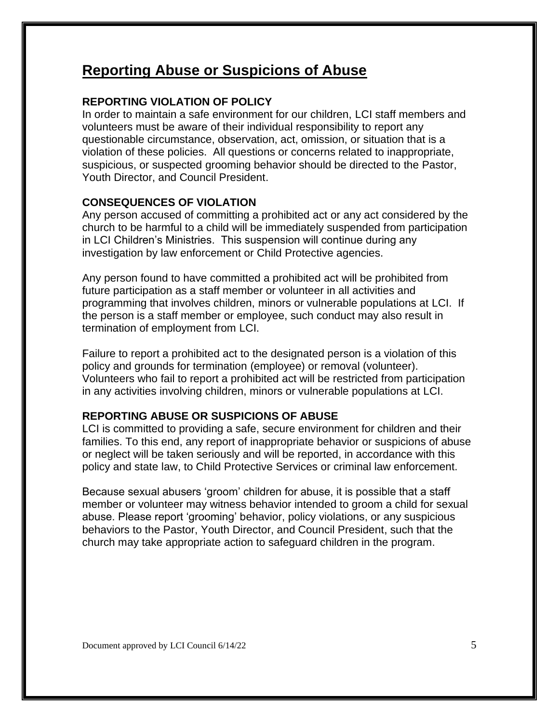### **Reporting Abuse or Suspicions of Abuse**

#### **REPORTING VIOLATION OF POLICY**

In order to maintain a safe environment for our children, LCI staff members and volunteers must be aware of their individual responsibility to report any questionable circumstance, observation, act, omission, or situation that is a violation of these policies. All questions or concerns related to inappropriate, suspicious, or suspected grooming behavior should be directed to the Pastor, Youth Director, and Council President.

#### **CONSEQUENCES OF VIOLATION**

Any person accused of committing a prohibited act or any act considered by the church to be harmful to a child will be immediately suspended from participation in LCI Children's Ministries. This suspension will continue during any investigation by law enforcement or Child Protective agencies.

Any person found to have committed a prohibited act will be prohibited from future participation as a staff member or volunteer in all activities and programming that involves children, minors or vulnerable populations at LCI. If the person is a staff member or employee, such conduct may also result in termination of employment from LCI.

Failure to report a prohibited act to the designated person is a violation of this policy and grounds for termination (employee) or removal (volunteer). Volunteers who fail to report a prohibited act will be restricted from participation in any activities involving children, minors or vulnerable populations at LCI.

#### **REPORTING ABUSE OR SUSPICIONS OF ABUSE**

LCI is committed to providing a safe, secure environment for children and their families. To this end, any report of inappropriate behavior or suspicions of abuse or neglect will be taken seriously and will be reported, in accordance with this policy and state law, to Child Protective Services or criminal law enforcement.

Because sexual abusers 'groom' children for abuse, it is possible that a staff member or volunteer may witness behavior intended to groom a child for sexual abuse. Please report 'grooming' behavior, policy violations, or any suspicious behaviors to the Pastor, Youth Director, and Council President, such that the church may take appropriate action to safeguard children in the program.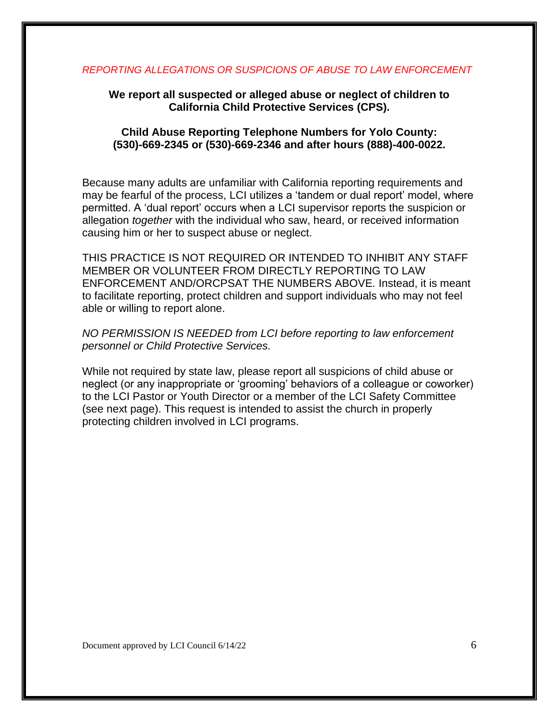#### *REPORTING ALLEGATIONS OR SUSPICIONS OF ABUSE TO LAW ENFORCEMENT*

#### **We report all suspected or alleged abuse or neglect of children to California Child Protective Services (CPS).**

#### **Child Abuse Reporting Telephone Numbers for Yolo County: (530)-669-2345 or (530)-669-2346 and after hours (888)-400-0022.**

Because many adults are unfamiliar with California reporting requirements and may be fearful of the process, LCI utilizes a 'tandem or dual report' model, where permitted. A 'dual report' occurs when a LCI supervisor reports the suspicion or allegation *together* with the individual who saw, heard, or received information causing him or her to suspect abuse or neglect.

THIS PRACTICE IS NOT REQUIRED OR INTENDED TO INHIBIT ANY STAFF MEMBER OR VOLUNTEER FROM DIRECTLY REPORTING TO LAW ENFORCEMENT AND/ORCPSAT THE NUMBERS ABOVE*.* Instead, it is meant to facilitate reporting, protect children and support individuals who may not feel able or willing to report alone.

#### *NO PERMISSION IS NEEDED from LCI before reporting to law enforcement personnel or Child Protective Services.*

While not required by state law, please report all suspicions of child abuse or neglect (or any inappropriate or 'grooming' behaviors of a colleague or coworker) to the LCI Pastor or Youth Director or a member of the LCI Safety Committee (see next page). This request is intended to assist the church in properly protecting children involved in LCI programs.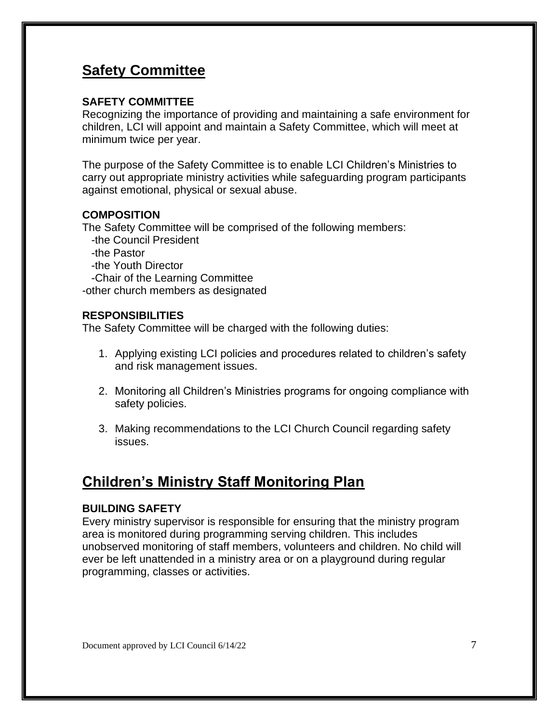### **Safety Committee**

#### **SAFETY COMMITTEE**

Recognizing the importance of providing and maintaining a safe environment for children, LCI will appoint and maintain a Safety Committee, which will meet at minimum twice per year.

The purpose of the Safety Committee is to enable LCI Children's Ministries to carry out appropriate ministry activities while safeguarding program participants against emotional, physical or sexual abuse.

#### **COMPOSITION**

The Safety Committee will be comprised of the following members:

- -the Council President
- -the Pastor
- -the Youth Director

-Chair of the Learning Committee

-other church members as designated

#### **RESPONSIBILITIES**

The Safety Committee will be charged with the following duties:

- 1. Applying existing LCI policies and procedures related to children's safety and risk management issues.
- 2. Monitoring all Children's Ministries programs for ongoing compliance with safety policies.
- 3. Making recommendations to the LCI Church Council regarding safety issues.

## **Children's Ministry Staff Monitoring Plan**

#### **BUILDING SAFETY**

Every ministry supervisor is responsible for ensuring that the ministry program area is monitored during programming serving children. This includes unobserved monitoring of staff members, volunteers and children. No child will ever be left unattended in a ministry area or on a playground during regular programming, classes or activities.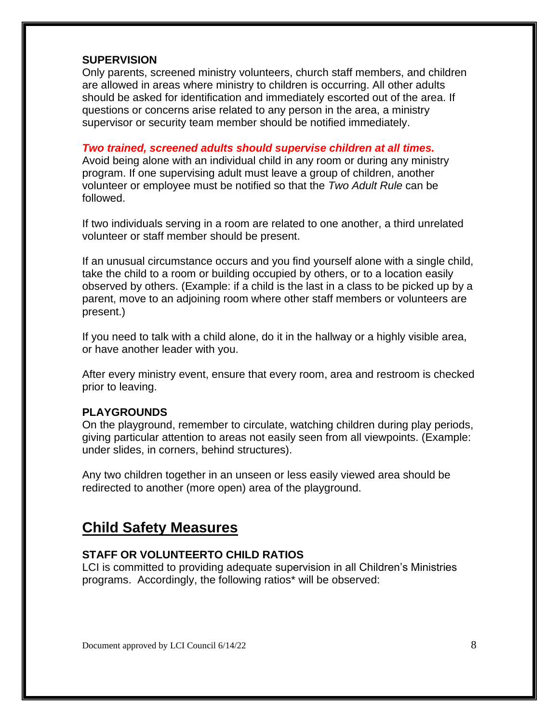#### **SUPERVISION**

Only parents, screened ministry volunteers, church staff members, and children are allowed in areas where ministry to children is occurring. All other adults should be asked for identification and immediately escorted out of the area. If questions or concerns arise related to any person in the area, a ministry supervisor or security team member should be notified immediately.

#### *Two trained, screened adults should supervise children at all times.*

Avoid being alone with an individual child in any room or during any ministry program. If one supervising adult must leave a group of children, another volunteer or employee must be notified so that the *Two Adult Rule* can be followed.

If two individuals serving in a room are related to one another, a third unrelated volunteer or staff member should be present.

If an unusual circumstance occurs and you find yourself alone with a single child, take the child to a room or building occupied by others, or to a location easily observed by others. (Example: if a child is the last in a class to be picked up by a parent, move to an adjoining room where other staff members or volunteers are present.)

If you need to talk with a child alone, do it in the hallway or a highly visible area, or have another leader with you.

After every ministry event, ensure that every room, area and restroom is checked prior to leaving.

#### **PLAYGROUNDS**

On the playground, remember to circulate, watching children during play periods, giving particular attention to areas not easily seen from all viewpoints. (Example: under slides, in corners, behind structures).

Any two children together in an unseen or less easily viewed area should be redirected to another (more open) area of the playground.

### **Child Safety Measures**

#### **STAFF OR VOLUNTEERTO CHILD RATIOS**

LCI is committed to providing adequate supervision in all Children's Ministries programs. Accordingly, the following ratios\* will be observed: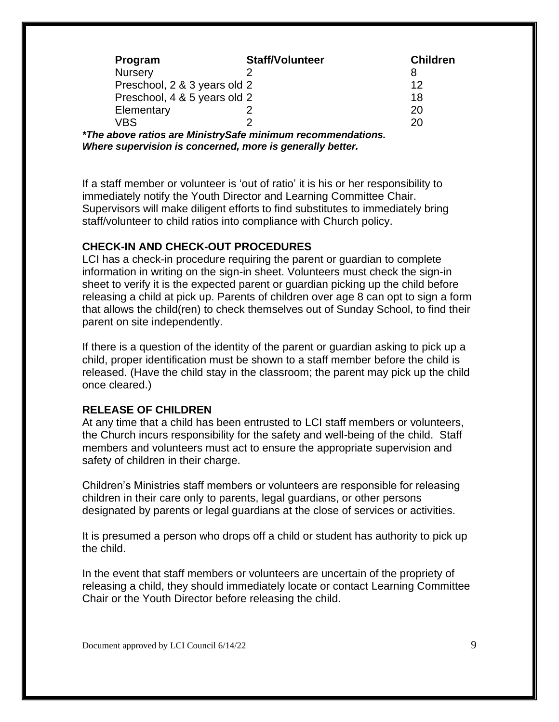| <b>Staff/Volunteer</b>       | <b>Children</b> |
|------------------------------|-----------------|
|                              |                 |
| Preschool, 2 & 3 years old 2 | 12              |
| Preschool, 4 & 5 years old 2 | 18              |
|                              | 20              |
|                              | 20              |
|                              |                 |

*\*The above ratios are MinistrySafe minimum recommendations. Where supervision is concerned, more is generally better.*

If a staff member or volunteer is 'out of ratio' it is his or her responsibility to immediately notify the Youth Director and Learning Committee Chair. Supervisors will make diligent efforts to find substitutes to immediately bring staff/volunteer to child ratios into compliance with Church policy.

#### **CHECK-IN AND CHECK-OUT PROCEDURES**

LCI has a check-in procedure requiring the parent or guardian to complete information in writing on the sign-in sheet. Volunteers must check the sign-in sheet to verify it is the expected parent or guardian picking up the child before releasing a child at pick up. Parents of children over age 8 can opt to sign a form that allows the child(ren) to check themselves out of Sunday School, to find their parent on site independently.

If there is a question of the identity of the parent or guardian asking to pick up a child, proper identification must be shown to a staff member before the child is released. (Have the child stay in the classroom; the parent may pick up the child once cleared.)

#### **RELEASE OF CHILDREN**

At any time that a child has been entrusted to LCI staff members or volunteers, the Church incurs responsibility for the safety and well-being of the child. Staff members and volunteers must act to ensure the appropriate supervision and safety of children in their charge.

Children's Ministries staff members or volunteers are responsible for releasing children in their care only to parents, legal guardians, or other persons designated by parents or legal guardians at the close of services or activities.

It is presumed a person who drops off a child or student has authority to pick up the child.

In the event that staff members or volunteers are uncertain of the propriety of releasing a child, they should immediately locate or contact Learning Committee Chair or the Youth Director before releasing the child.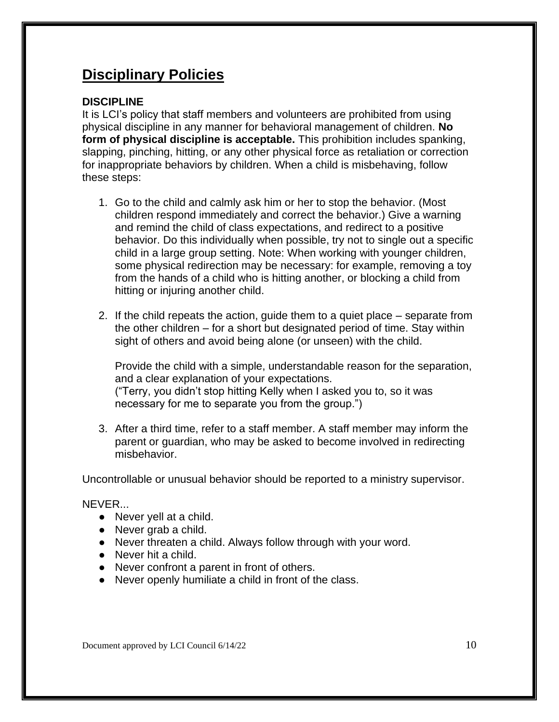### **Disciplinary Policies**

#### **DISCIPLINE**

It is LCI's policy that staff members and volunteers are prohibited from using physical discipline in any manner for behavioral management of children. **No form of physical discipline is acceptable.** This prohibition includes spanking, slapping, pinching, hitting, or any other physical force as retaliation or correction for inappropriate behaviors by children. When a child is misbehaving, follow these steps:

- 1. Go to the child and calmly ask him or her to stop the behavior. (Most children respond immediately and correct the behavior.) Give a warning and remind the child of class expectations, and redirect to a positive behavior. Do this individually when possible, try not to single out a specific child in a large group setting. Note: When working with younger children, some physical redirection may be necessary: for example, removing a toy from the hands of a child who is hitting another, or blocking a child from hitting or injuring another child.
- 2. If the child repeats the action, guide them to a quiet place separate from the other children – for a short but designated period of time. Stay within sight of others and avoid being alone (or unseen) with the child.

Provide the child with a simple, understandable reason for the separation, and a clear explanation of your expectations. ("Terry, you didn't stop hitting Kelly when I asked you to, so it was necessary for me to separate you from the group.")

3. After a third time, refer to a staff member. A staff member may inform the parent or guardian, who may be asked to become involved in redirecting misbehavior.

Uncontrollable or unusual behavior should be reported to a ministry supervisor.

NEVER...

- Never yell at a child.
- Never grab a child.
- Never threaten a child. Always follow through with your word.
- Never hit a child.
- Never confront a parent in front of others.
- Never openly humiliate a child in front of the class.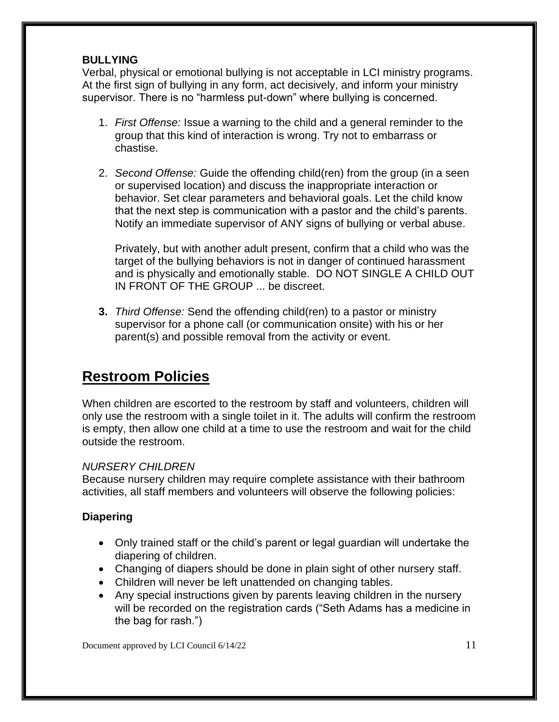#### **BULLYING**

Verbal, physical or emotional bullying is not acceptable in LCI ministry programs. At the first sign of bullying in any form, act decisively, and inform your ministry supervisor. There is no "harmless put-down" where bullying is concerned.

- 1. *First Offense:* Issue a warning to the child and a general reminder to the group that this kind of interaction is wrong. Try not to embarrass or chastise.
- 2. *Second Offense:* Guide the offending child(ren) from the group (in a seen or supervised location) and discuss the inappropriate interaction or behavior. Set clear parameters and behavioral goals. Let the child know that the next step is communication with a pastor and the child's parents. Notify an immediate supervisor of ANY signs of bullying or verbal abuse.

Privately, but with another adult present, confirm that a child who was the target of the bullying behaviors is not in danger of continued harassment and is physically and emotionally stable. DO NOT SINGLE A CHILD OUT IN FRONT OF THE GROUP ... be discreet.

**3.** *Third Offense:* Send the offending child(ren) to a pastor or ministry supervisor for a phone call (or communication onsite) with his or her parent(s) and possible removal from the activity or event.

## **Restroom Policies**

When children are escorted to the restroom by staff and volunteers, children will only use the restroom with a single toilet in it. The adults will confirm the restroom is empty, then allow one child at a time to use the restroom and wait for the child outside the restroom.

#### *NURSERY CHILDREN*

Because nursery children may require complete assistance with their bathroom activities, all staff members and volunteers will observe the following policies:

#### **Diapering**

- Only trained staff or the child's parent or legal guardian will undertake the diapering of children.
- Changing of diapers should be done in plain sight of other nursery staff.
- Children will never be left unattended on changing tables.
- Any special instructions given by parents leaving children in the nursery will be recorded on the registration cards ("Seth Adams has a medicine in the bag for rash.")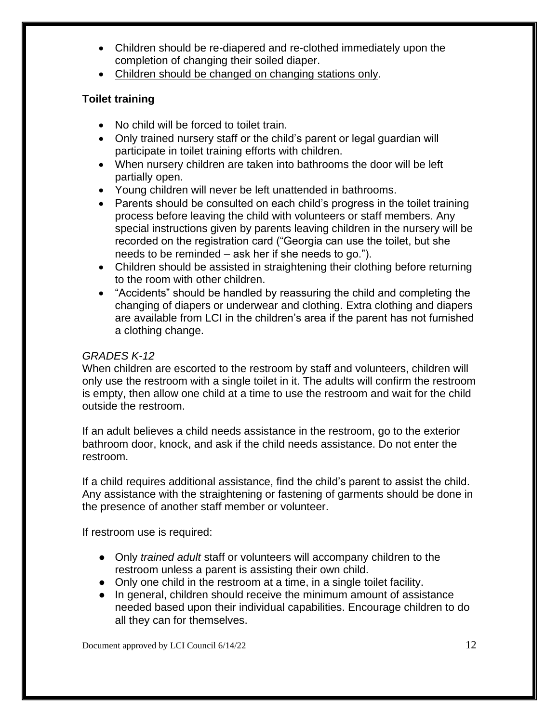- Children should be re-diapered and re-clothed immediately upon the completion of changing their soiled diaper.
- Children should be changed on changing stations only.

#### **Toilet training**

- No child will be forced to toilet train.
- Only trained nursery staff or the child's parent or legal guardian will participate in toilet training efforts with children.
- When nursery children are taken into bathrooms the door will be left partially open.
- Young children will never be left unattended in bathrooms.
- Parents should be consulted on each child's progress in the toilet training process before leaving the child with volunteers or staff members. Any special instructions given by parents leaving children in the nursery will be recorded on the registration card ("Georgia can use the toilet, but she needs to be reminded – ask her if she needs to go.").
- Children should be assisted in straightening their clothing before returning to the room with other children.
- "Accidents" should be handled by reassuring the child and completing the changing of diapers or underwear and clothing. Extra clothing and diapers are available from LCI in the children's area if the parent has not furnished a clothing change.

#### *GRADES K-12*

When children are escorted to the restroom by staff and volunteers, children will only use the restroom with a single toilet in it. The adults will confirm the restroom is empty, then allow one child at a time to use the restroom and wait for the child outside the restroom.

If an adult believes a child needs assistance in the restroom, go to the exterior bathroom door, knock, and ask if the child needs assistance. Do not enter the restroom.

If a child requires additional assistance, find the child's parent to assist the child. Any assistance with the straightening or fastening of garments should be done in the presence of another staff member or volunteer.

If restroom use is required:

- Only *trained adult* staff or volunteers will accompany children to the restroom unless a parent is assisting their own child.
- Only one child in the restroom at a time, in a single toilet facility.
- In general, children should receive the minimum amount of assistance needed based upon their individual capabilities. Encourage children to do all they can for themselves.

Document approved by LCI Council 6/14/22 12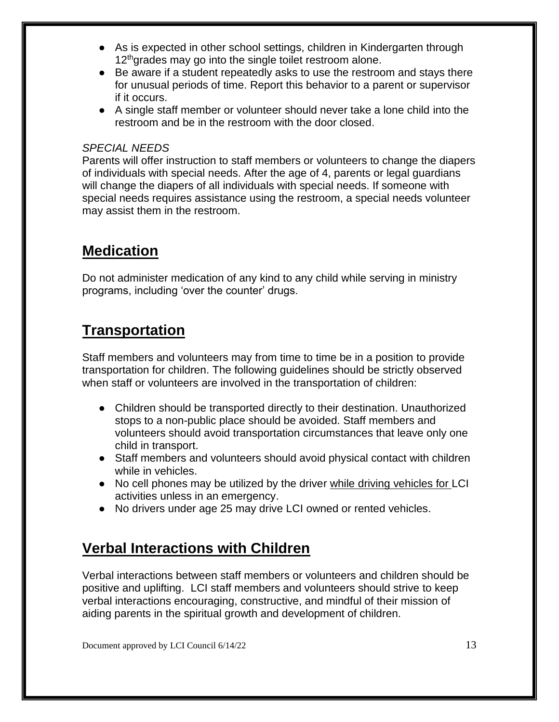- As is expected in other school settings, children in Kindergarten through 12<sup>th</sup>grades may go into the single toilet restroom alone.
- Be aware if a student repeatedly asks to use the restroom and stays there for unusual periods of time. Report this behavior to a parent or supervisor if it occurs.
- A single staff member or volunteer should never take a lone child into the restroom and be in the restroom with the door closed.

#### *SPECIAL NEEDS*

Parents will offer instruction to staff members or volunteers to change the diapers of individuals with special needs. After the age of 4, parents or legal guardians will change the diapers of all individuals with special needs. If someone with special needs requires assistance using the restroom, a special needs volunteer may assist them in the restroom.

### **Medication**

Do not administer medication of any kind to any child while serving in ministry programs, including 'over the counter' drugs.

## **Transportation**

Staff members and volunteers may from time to time be in a position to provide transportation for children. The following guidelines should be strictly observed when staff or volunteers are involved in the transportation of children:

- Children should be transported directly to their destination. Unauthorized stops to a non-public place should be avoided. Staff members and volunteers should avoid transportation circumstances that leave only one child in transport.
- Staff members and volunteers should avoid physical contact with children while in vehicles.
- No cell phones may be utilized by the driver while driving vehicles for LCI activities unless in an emergency.
- No drivers under age 25 may drive LCI owned or rented vehicles.

## **Verbal Interactions with Children**

Verbal interactions between staff members or volunteers and children should be positive and uplifting. LCI staff members and volunteers should strive to keep verbal interactions encouraging, constructive, and mindful of their mission of aiding parents in the spiritual growth and development of children.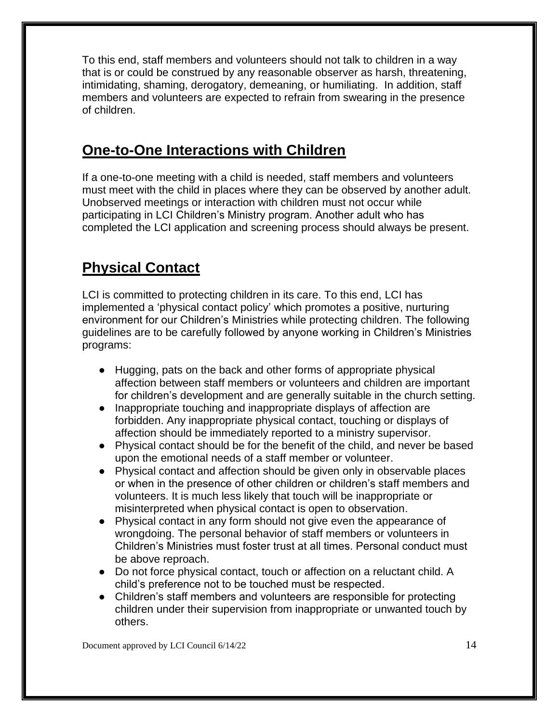To this end, staff members and volunteers should not talk to children in a way that is or could be construed by any reasonable observer as harsh, threatening, intimidating, shaming, derogatory, demeaning, or humiliating. In addition, staff members and volunteers are expected to refrain from swearing in the presence of children.

## **One-to-One Interactions with Children**

If a one-to-one meeting with a child is needed, staff members and volunteers must meet with the child in places where they can be observed by another adult. Unobserved meetings or interaction with children must not occur while participating in LCI Children's Ministry program. Another adult who has completed the LCI application and screening process should always be present.

# **Physical Contact**

LCI is committed to protecting children in its care. To this end, LCI has implemented a 'physical contact policy' which promotes a positive, nurturing environment for our Children's Ministries while protecting children. The following guidelines are to be carefully followed by anyone working in Children's Ministries programs:

- Hugging, pats on the back and other forms of appropriate physical affection between staff members or volunteers and children are important for children's development and are generally suitable in the church setting.
- Inappropriate touching and inappropriate displays of affection are forbidden. Any inappropriate physical contact, touching or displays of affection should be immediately reported to a ministry supervisor.
- Physical contact should be for the benefit of the child, and never be based upon the emotional needs of a staff member or volunteer.
- Physical contact and affection should be given only in observable places or when in the presence of other children or children's staff members and volunteers. It is much less likely that touch will be inappropriate or misinterpreted when physical contact is open to observation.
- Physical contact in any form should not give even the appearance of wrongdoing. The personal behavior of staff members or volunteers in Children's Ministries must foster trust at all times. Personal conduct must be above reproach.
- Do not force physical contact, touch or affection on a reluctant child. A child's preference not to be touched must be respected.
- Children's staff members and volunteers are responsible for protecting children under their supervision from inappropriate or unwanted touch by others.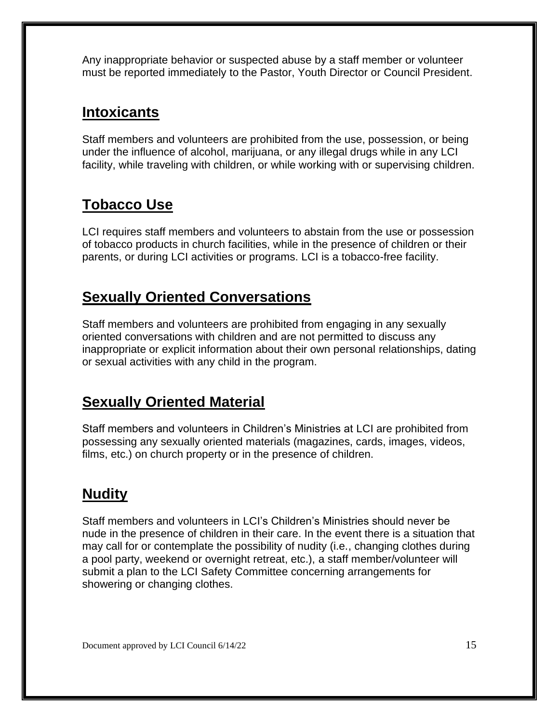Any inappropriate behavior or suspected abuse by a staff member or volunteer must be reported immediately to the Pastor, Youth Director or Council President.

### **Intoxicants**

Staff members and volunteers are prohibited from the use, possession, or being under the influence of alcohol, marijuana, or any illegal drugs while in any LCI facility, while traveling with children, or while working with or supervising children.

## **Tobacco Use**

LCI requires staff members and volunteers to abstain from the use or possession of tobacco products in church facilities, while in the presence of children or their parents, or during LCI activities or programs. LCI is a tobacco-free facility.

## **Sexually Oriented Conversations**

Staff members and volunteers are prohibited from engaging in any sexually oriented conversations with children and are not permitted to discuss any inappropriate or explicit information about their own personal relationships, dating or sexual activities with any child in the program.

### **Sexually Oriented Material**

Staff members and volunteers in Children's Ministries at LCI are prohibited from possessing any sexually oriented materials (magazines, cards, images, videos, films, etc.) on church property or in the presence of children.

# **Nudity**

Staff members and volunteers in LCI's Children's Ministries should never be nude in the presence of children in their care. In the event there is a situation that may call for or contemplate the possibility of nudity (i.e., changing clothes during a pool party, weekend or overnight retreat, etc.), a staff member/volunteer will submit a plan to the LCI Safety Committee concerning arrangements for showering or changing clothes.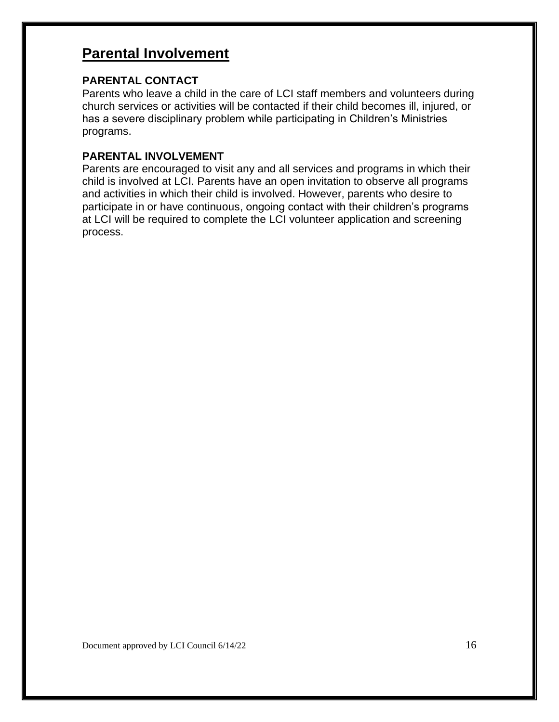## **Parental Involvement**

#### **PARENTAL CONTACT**

Parents who leave a child in the care of LCI staff members and volunteers during church services or activities will be contacted if their child becomes ill, injured, or has a severe disciplinary problem while participating in Children's Ministries programs.

#### **PARENTAL INVOLVEMENT**

Parents are encouraged to visit any and all services and programs in which their child is involved at LCI. Parents have an open invitation to observe all programs and activities in which their child is involved. However, parents who desire to participate in or have continuous, ongoing contact with their children's programs at LCI will be required to complete the LCI volunteer application and screening process.